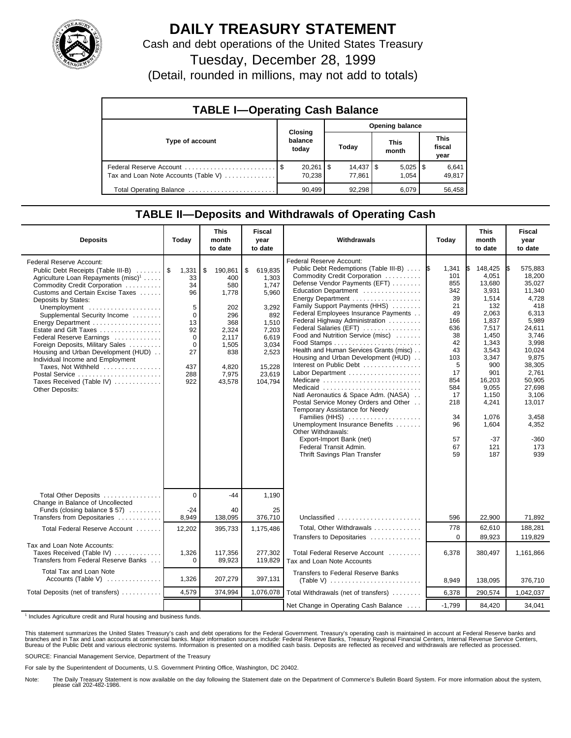

## **DAILY TREASURY STATEMENT**

Cash and debt operations of the United States Treasury

Tuesday, December 28, 1999

(Detail, rounded in millions, may not add to totals)

| <b>TABLE I-Operating Cash Balance</b> |  |                             |                 |                               |  |                       |  |                               |  |  |
|---------------------------------------|--|-----------------------------|-----------------|-------------------------------|--|-----------------------|--|-------------------------------|--|--|
|                                       |  |                             | Opening balance |                               |  |                       |  |                               |  |  |
| Type of account                       |  | Closing<br>balance<br>today |                 | Today                         |  | <b>This</b><br>month  |  | <b>This</b><br>fiscal<br>year |  |  |
| Tax and Loan Note Accounts (Table V)  |  | 70.238                      |                 | $14,437$ $\sqrt{5}$<br>77.861 |  | $5,025$   \$<br>1.054 |  | 6,641<br>49,817               |  |  |
| Total Operating Balance               |  | 90.499                      |                 | 92.298                        |  | 6.079                 |  | 56.458                        |  |  |

#### **TABLE II—Deposits and Withdrawals of Operating Cash**

| <b>Deposits</b>                                                                                                                                                                                                                                                                                                                                                                                                                                                                                                           | Today                                                                                               | <b>This</b><br>month<br>to date                                                                                         | <b>Fiscal</b><br>year<br>to date                                                                                                     | Withdrawals                                                                                                                                                                                                                                                                                                                                                                                                                                                                                                                                                                                                                                                                                                                                                                                                                                           | Today                                                                                                                                                          | <b>This</b><br>month<br>to date                                                                                                                                                                                | Fiscal<br>year<br>to date                                                                                                                                                                                                       |
|---------------------------------------------------------------------------------------------------------------------------------------------------------------------------------------------------------------------------------------------------------------------------------------------------------------------------------------------------------------------------------------------------------------------------------------------------------------------------------------------------------------------------|-----------------------------------------------------------------------------------------------------|-------------------------------------------------------------------------------------------------------------------------|--------------------------------------------------------------------------------------------------------------------------------------|-------------------------------------------------------------------------------------------------------------------------------------------------------------------------------------------------------------------------------------------------------------------------------------------------------------------------------------------------------------------------------------------------------------------------------------------------------------------------------------------------------------------------------------------------------------------------------------------------------------------------------------------------------------------------------------------------------------------------------------------------------------------------------------------------------------------------------------------------------|----------------------------------------------------------------------------------------------------------------------------------------------------------------|----------------------------------------------------------------------------------------------------------------------------------------------------------------------------------------------------------------|---------------------------------------------------------------------------------------------------------------------------------------------------------------------------------------------------------------------------------|
| Federal Reserve Account:<br>Public Debt Receipts (Table III-B)<br>Agriculture Loan Repayments (misc) <sup>1</sup><br>Commodity Credit Corporation<br>Customs and Certain Excise Taxes<br>Deposits by States:<br>Unemployment<br>Supplemental Security Income<br>Estate and Gift Taxes<br>Federal Reserve Earnings<br>Foreign Deposits, Military Sales<br>Housing and Urban Development (HUD)<br>Individual Income and Employment<br>Taxes, Not Withheld<br>Postal Service<br>Taxes Received (Table IV)<br>Other Deposits: | 1,331<br>33<br>34<br>96<br>5<br>$\mathbf 0$<br>13<br>92<br>0<br>$\Omega$<br>27<br>437<br>288<br>922 | \$<br>190,861<br>400<br>580<br>1.778<br>202<br>296<br>368<br>2,324<br>2,117<br>1,505<br>838<br>4,820<br>7,975<br>43,578 | \$<br>619,835<br>1,303<br>1.747<br>5,960<br>3,292<br>892<br>1,510<br>7,203<br>6,619<br>3,034<br>2,523<br>15,228<br>23,619<br>104,794 | Federal Reserve Account:<br>Public Debt Redemptions (Table III-B)<br>Commodity Credit Corporation<br>Defense Vendor Payments (EFT)<br>Education Department<br>Family Support Payments (HHS)<br>Federal Employees Insurance Payments<br>Federal Highway Administration<br>Federal Salaries (EFT)<br>Food and Nutrition Service (misc)<br>$Food$ Stamps $\ldots \ldots \ldots \ldots \ldots \ldots \ldots$<br>Health and Human Services Grants (misc)<br>Housing and Urban Development (HUD)<br>Interest on Public Debt<br>Labor Department<br>Medicare<br>Medicaid<br>Natl Aeronautics & Space Adm. (NASA)<br>Postal Service Money Orders and Other<br>Temporary Assistance for Needy<br>Families (HHS)<br>Unemployment Insurance Benefits<br>Other Withdrawals:<br>Export-Import Bank (net)<br>Federal Transit Admin.<br>Thrift Savings Plan Transfer | 1\$<br>1,341<br>101<br>855<br>342<br>39<br>21<br>49<br>166<br>636<br>38<br>42<br>43<br>103<br>5<br>17<br>854<br>584<br>17<br>218<br>34<br>96<br>57<br>67<br>59 | 148,425<br>4,051<br>13,680<br>3,931<br>1,514<br>132<br>2,063<br>1,837<br>7,517<br>1,450<br>1.343<br>3,543<br>3,347<br>900<br>901<br>16,203<br>9,055<br>1,150<br>4,241<br>1,076<br>1,604<br>$-37$<br>121<br>187 | 575,883<br>1\$<br>18.200<br>35,027<br>11,340<br>4,728<br>418<br>6,313<br>5,989<br>24,611<br>3,746<br>3.998<br>10,024<br>9,875<br>38,305<br>2.761<br>50,905<br>27,698<br>3,106<br>13,017<br>3,458<br>4,352<br>-360<br>173<br>939 |
| Total Other Deposits                                                                                                                                                                                                                                                                                                                                                                                                                                                                                                      | $\Omega$                                                                                            | $-44$                                                                                                                   | 1,190                                                                                                                                |                                                                                                                                                                                                                                                                                                                                                                                                                                                                                                                                                                                                                                                                                                                                                                                                                                                       |                                                                                                                                                                |                                                                                                                                                                                                                |                                                                                                                                                                                                                                 |
| Change in Balance of Uncollected<br>Funds (closing balance \$57)<br>Transfers from Depositaries                                                                                                                                                                                                                                                                                                                                                                                                                           | $-24$<br>8,949                                                                                      | 40<br>138,095                                                                                                           | 25<br>376,710                                                                                                                        | Unclassified                                                                                                                                                                                                                                                                                                                                                                                                                                                                                                                                                                                                                                                                                                                                                                                                                                          | 596                                                                                                                                                            | 22,900                                                                                                                                                                                                         | 71,892                                                                                                                                                                                                                          |
| Total Federal Reserve Account                                                                                                                                                                                                                                                                                                                                                                                                                                                                                             | 12,202                                                                                              | 395,733                                                                                                                 | 1,175,486                                                                                                                            | Total, Other Withdrawals<br>Transfers to Depositaries                                                                                                                                                                                                                                                                                                                                                                                                                                                                                                                                                                                                                                                                                                                                                                                                 | 778<br>$\Omega$                                                                                                                                                | 62,610<br>89,923                                                                                                                                                                                               | 188,281<br>119,829                                                                                                                                                                                                              |
| Tax and Loan Note Accounts:<br>Taxes Received (Table IV)<br>Transfers from Federal Reserve Banks                                                                                                                                                                                                                                                                                                                                                                                                                          | 1,326<br>$\Omega$                                                                                   | 117,356<br>89,923                                                                                                       | 277,302<br>119,829                                                                                                                   | Total Federal Reserve Account<br>Tax and Loan Note Accounts                                                                                                                                                                                                                                                                                                                                                                                                                                                                                                                                                                                                                                                                                                                                                                                           | 6,378                                                                                                                                                          | 380,497                                                                                                                                                                                                        | 1,161,866                                                                                                                                                                                                                       |
| Total Tax and Loan Note<br>Accounts (Table V)                                                                                                                                                                                                                                                                                                                                                                                                                                                                             | 1,326                                                                                               | 207,279                                                                                                                 | 397,131                                                                                                                              | <b>Transfers to Federal Reserve Banks</b>                                                                                                                                                                                                                                                                                                                                                                                                                                                                                                                                                                                                                                                                                                                                                                                                             | 8,949                                                                                                                                                          | 138,095                                                                                                                                                                                                        | 376,710                                                                                                                                                                                                                         |
| Total Deposits (net of transfers)                                                                                                                                                                                                                                                                                                                                                                                                                                                                                         | 4,579                                                                                               | 374,994                                                                                                                 | 1,076,078                                                                                                                            | Total Withdrawals (net of transfers)                                                                                                                                                                                                                                                                                                                                                                                                                                                                                                                                                                                                                                                                                                                                                                                                                  | 6,378                                                                                                                                                          | 290,574                                                                                                                                                                                                        | 1,042,037                                                                                                                                                                                                                       |
|                                                                                                                                                                                                                                                                                                                                                                                                                                                                                                                           |                                                                                                     |                                                                                                                         |                                                                                                                                      | Net Change in Operating Cash Balance                                                                                                                                                                                                                                                                                                                                                                                                                                                                                                                                                                                                                                                                                                                                                                                                                  | $-1,799$                                                                                                                                                       | 84,420                                                                                                                                                                                                         | 34,041                                                                                                                                                                                                                          |

<sup>1</sup> Includes Agriculture credit and Rural housing and business funds.

This statement summarizes the United States Treasury's cash and debt operations for the Federal Government. Treasury's operating cash is maintained in account at Federal Reserve banks and<br>branches and in Tax and Loan accou

SOURCE: Financial Management Service, Department of the Treasury

For sale by the Superintendent of Documents, U.S. Government Printing Office, Washington, DC 20402.

Note: The Daily Treasury Statement is now available on the day following the Statement date on the Department of Commerce's Bulletin Board System. For more information about the system, please call 202-482-1986.